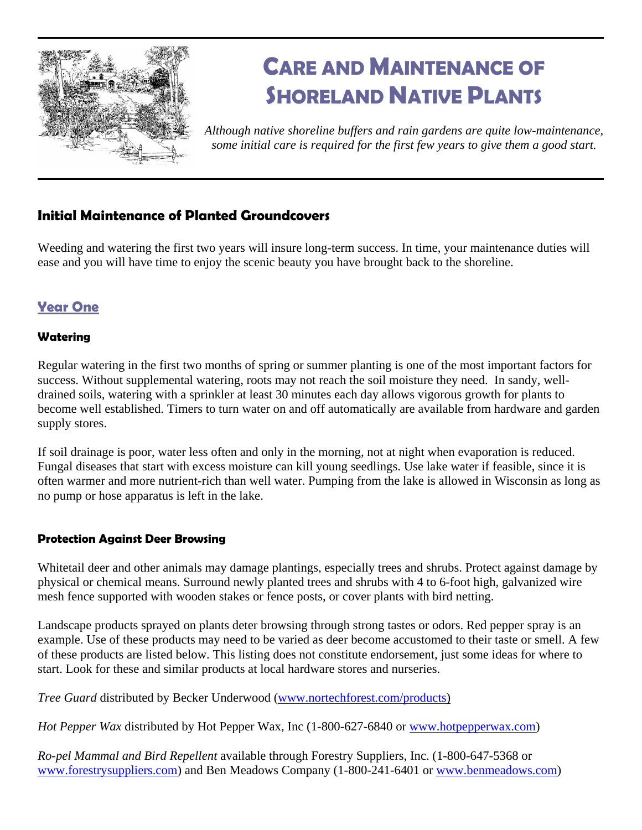

# **CARE AND MAINTENANCE OF SHORELAND NATIVE PLANTS**

*Although native shoreline buffers and rain gardens are quite low-maintenance, some initial care is required for the first few years to give them a good start.* 

# **Initial Maintenance of Planted Groundcovers**

Weeding and watering the first two years will insure long-term success. In time, your maintenance duties will ease and you will have time to enjoy the scenic beauty you have brought back to the shoreline.

# **Year One**

## **Watering**

Regular watering in the first two months of spring or summer planting is one of the most important factors for success. Without supplemental watering, roots may not reach the soil moisture they need. In sandy, welldrained soils, watering with a sprinkler at least 30 minutes each day allows vigorous growth for plants to become well established. Timers to turn water on and off automatically are available from hardware and garden supply stores.

If soil drainage is poor, water less often and only in the morning, not at night when evaporation is reduced. Fungal diseases that start with excess moisture can kill young seedlings. Use lake water if feasible, since it is often warmer and more nutrient-rich than well water. Pumping from the lake is allowed in Wisconsin as long as no pump or hose apparatus is left in the lake.

## **Protection Against Deer Browsing**

Whitetail deer and other animals may damage plantings, especially trees and shrubs. Protect against damage by physical or chemical means. Surround newly planted trees and shrubs with 4 to 6-foot high, galvanized wire mesh fence supported with wooden stakes or fence posts, or cover plants with bird netting.

Landscape products sprayed on plants deter browsing through strong tastes or odors. Red pepper spray is an example. Use of these products may need to be varied as deer become accustomed to their taste or smell. A few of these products are listed below. This listing does not constitute endorsement, just some ideas for where to start. Look for these and similar products at local hardware stores and nurseries.

*Tree Guard* distributed by Becker Underwood [\(www.nortechforest.com/products\)](http://www.nortechforest.com/products)

*Hot Pepper Wax* distributed by Hot Pepper Wax, Inc (1-800-627-6840 or [www.hotpepperwax.com](http://www.hotpepperwax.com/))

*Ro-pel Mammal and Bird Repellent* available through Forestry Suppliers, Inc. (1-800-647-5368 or [www.forestrysuppliers.com](http://www.forestrysuppliers.com/)) and Ben Meadows Company (1-800-241-6401 or [www.benmeadows.com\)](http://www.benmeadows.com/)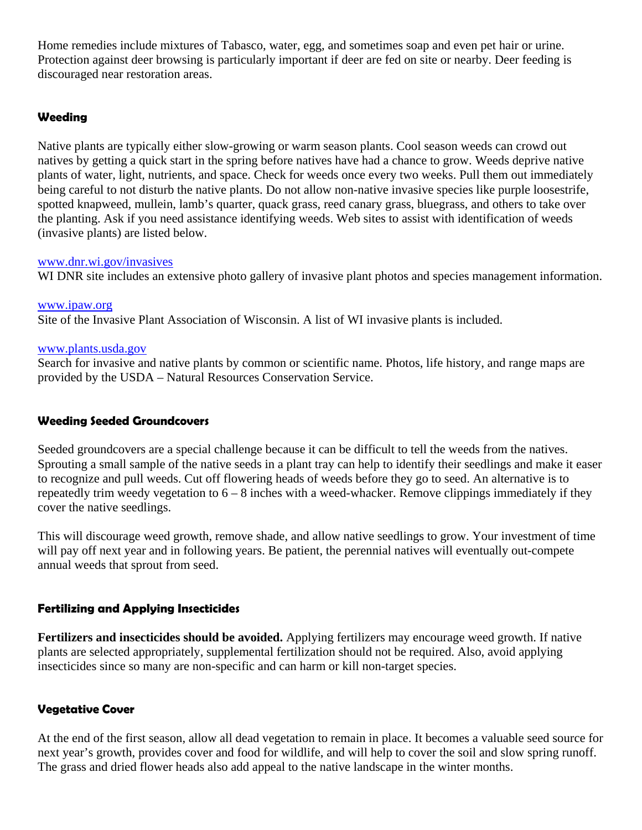Home remedies include mixtures of Tabasco, water, egg, and sometimes soap and even pet hair or urine. Protection against deer browsing is particularly important if deer are fed on site or nearby. Deer feeding is discouraged near restoration areas.

#### **Weeding**

Native plants are typically either slow-growing or warm season plants. Cool season weeds can crowd out natives by getting a quick start in the spring before natives have had a chance to grow. Weeds deprive native plants of water, light, nutrients, and space. Check for weeds once every two weeks. Pull them out immediately being careful to not disturb the native plants. Do not allow non-native invasive species like purple loosestrife, spotted knapweed, mullein, lamb's quarter, quack grass, reed canary grass, bluegrass, and others to take over the planting. Ask if you need assistance identifying weeds. Web sites to assist with identification of weeds (invasive plants) are listed below.

#### [www.dnr.wi.gov/invasives](http://www.dnr.wi.gov/invasives)

WI DNR site includes an extensive photo gallery of invasive plant photos and species management information.

[www.ipaw.org](http://www.ipaw.org/) Site of the Invasive Plant Association of Wisconsin. A list of WI invasive plants is included.

#### [www.plants.usda.gov](http://www.plants.usda.gov/)

Search for invasive and native plants by common or scientific name. Photos, life history, and range maps are provided by the USDA – Natural Resources Conservation Service.

#### **Weeding Seeded Groundcovers**

Seeded groundcovers are a special challenge because it can be difficult to tell the weeds from the natives. Sprouting a small sample of the native seeds in a plant tray can help to identify their seedlings and make it easer to recognize and pull weeds. Cut off flowering heads of weeds before they go to seed. An alternative is to repeatedly trim weedy vegetation to  $6 - 8$  inches with a weed-whacker. Remove clippings immediately if they cover the native seedlings.

This will discourage weed growth, remove shade, and allow native seedlings to grow. Your investment of time will pay off next year and in following years. Be patient, the perennial natives will eventually out-compete annual weeds that sprout from seed.

## **Fertilizing and Applying Insecticides**

**Fertilizers and insecticides should be avoided.** Applying fertilizers may encourage weed growth. If native plants are selected appropriately, supplemental fertilization should not be required. Also, avoid applying insecticides since so many are non-specific and can harm or kill non-target species.

## **Vegetative Cover**

At the end of the first season, allow all dead vegetation to remain in place. It becomes a valuable seed source for next year's growth, provides cover and food for wildlife, and will help to cover the soil and slow spring runoff. The grass and dried flower heads also add appeal to the native landscape in the winter months.